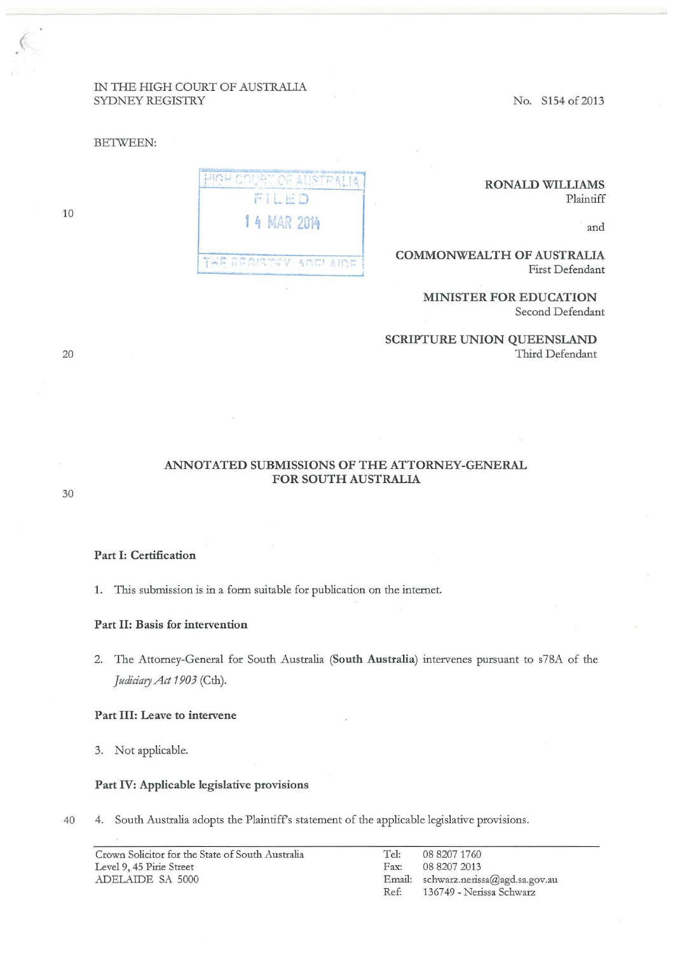# IN THE HIGH COURT OF AUSTRALIA SYDNEY REGISTRY

#### BETWEEN:

RONALD WILLIAMS Plaintiff

and

## COMMONWEALTH OF AUSTRALIA First Defendant

# MINISTER FOR EDUCATION

Second Defendant

SCRIPTURE UNION QUEENSLAND Third Defendant

ANNOTATED SUBMISSIONS OF THE ATTORNEY-GENERAL FOR SOUTH AUSTRALIA

Part I: Certification

1. This submission is in a form suitable for publication on the internet.

1 4 MAR 2014

**AINE! 左ITE** 

THE RECISIN

**HIGH COURT OF ALISTRAL** FILED

Part II: Basis for intervention

2. The Attomey-General for South Australia (South Australia) intervenes pursuant to s78A of the *Judiciary Act 1903* (Cth).

## Part III: Leave to intervene

3. Not applicable.

#### Part IV: Applicable legislative provisions

40 4. South Australia adopts the Plaintiffs statement of the applicable legislative provisions.

| Crown Solicitor for the State of South Australia | Tel:          | 08 8207 1760                         |
|--------------------------------------------------|---------------|--------------------------------------|
| Level 9, 45 Pirie Street                         | $\text{Fax:}$ | 08 8207 2013                         |
| ADELAIDE SA 5000                                 |               | Email: schwarz.nerissa@agd.sa.gov.au |
|                                                  | Ref:          | 136749 - Nerissa Schwarz             |

20

10

(

30

No. S154 of 2013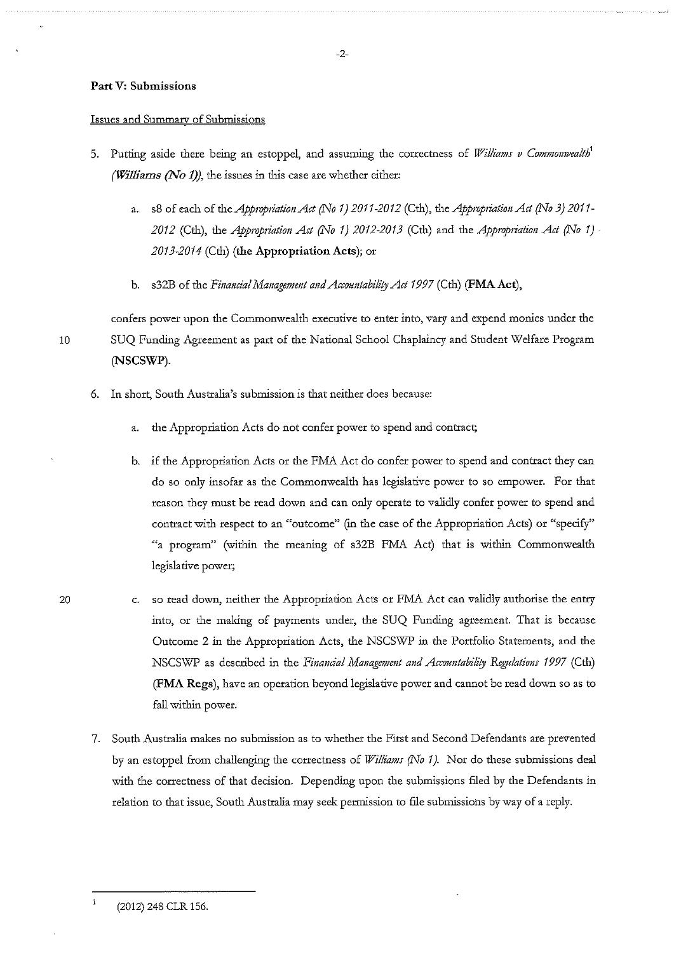## Part V: Submissions

#### **Issues and Summary of Submissions**

- 5. Putting aside there being an estoppel, and assuming the correctness of *Williams v Commonwealth*<sup>1</sup> *(Williams (No 1))*, the issues in this case are whether either:
	- a. s8 of each of the *Appropriation Act (No 1) 2011-2012* (Cth), *the Appropriation Act (No 3) 2011*-2012 (Cth), the *Appropriation Act* (No 1) 2012-2013 (Cth) and the *Appropriation Act* (No 1) 2013-2014 (Cth) (the Appropriation Acts); or
	- b. s32B of the *Financial Management and Accountability Act 1997* (Cth) (FMA Act),

confers power upon the Commonwealth executive to enter into, vary and expend monies under the 10 SUQ Funding Agreement as part of the National School Chaplaincy and Student Welfare Program (NSCSWP).

- 6. In short, South Australia's submission is that neither does because:
	- a. the Appropriation Acts do not confer power to spend and contract;
	- b. if the Appropriation Acts or the FMA Act do confer power to spend and contract they can do so only insofar as the Commonwealth has legislative power to so empower. For that reason they must be read down and can only operate to validly confer power to spend and contract with respect to an "outcome" (in the case of the Appropriation Acts) or "specify"  $4$  program" (within the meaning of s32B FMA Act) that is within Commonwealth legislative power;
- c. so read down, neither the Appropriation Acts or FMA Act can validly authorise the entry into, or the making of payments under, the SUQ Funding agreement. That is because Outcome 2 in the Appropriation Acts, the NSCSWP in the Portfolio Statements, and the NSCSWP as described in the *Financial Management and Accountability Regulations* 1997 (Cth) (FMA Regs), have an operation beyond legislative power and cannot be read down so as to fall within power.
	- 7. South Australia makes no submission as to whether the First and Second Defendants are prevented by an estoppel from challenging the correctness of *Williams (No 1)*. Nor do these submissions deal with the correctness of that decision. Depending upon the submissions filed by the Defendants in relation to that issue, South Australia may seek permission to file submissions by way of a reply.

(2012) 248 CLR 156.

 $\mathbf{1}$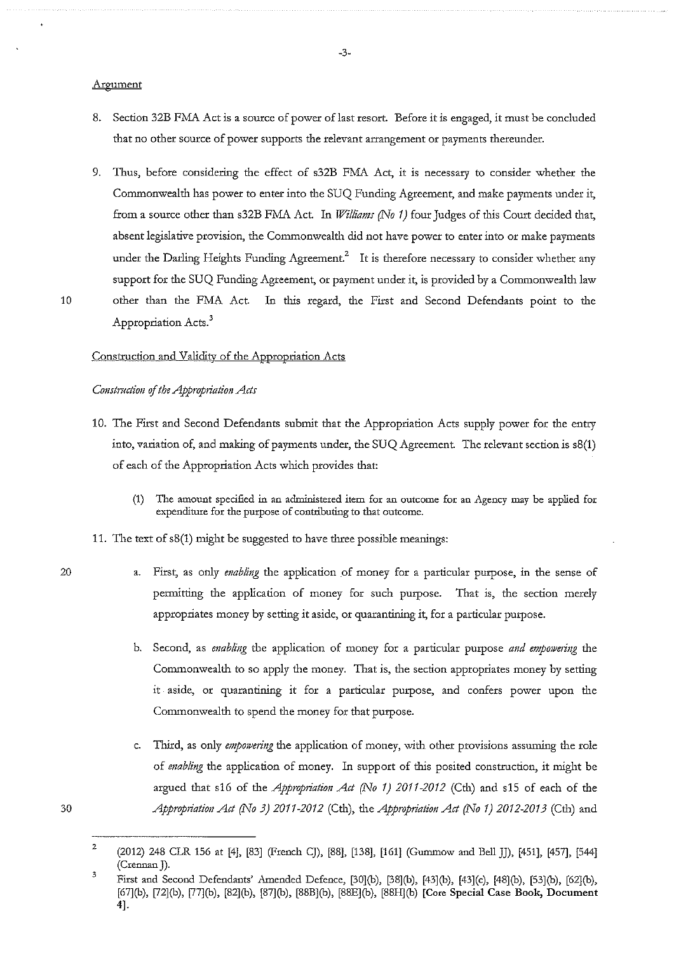#### Argument

- 8. Section 32B FMA Act is a source of power of last resort. Before it is engaged, it must be concluded **that no other source of power supports the relevant arrangement or payments thereunder.**
- 9. Tims, before considering the effect of s32B FMA Act, it is necessary to consider whether the Commonwealth has power to enter into the SUQ Funding Agreement, and make payments under it, from a source other than s32B FMA Act. In *Williams (No 1)* four Judges of this Court decided that, **absent legislative provision, the Commonwealth did not have power to enter into or make payments**  under the Darling Heights Funding Agreement.<sup>2</sup> It is therefore necessary to consider whether any support for the SUQ Funding Agreement, or payment under it, is provided by a Commonwealth law 10 other than the FMA Act. In this regard, the First and Second Defendants point to the Appropriation Acts.<sup>3</sup>
	- Construction and Validity of the Appropriation Acts

# *Construction of the Appropriation Acts*

- 10. The First and Second Defendants submit that the Appropriation Acts supply power for the entry into, variation of, and making of payments under, the SUQ Agreement. The relevant section is  $s8(1)$ of each of the Appropriation Acts which provides that:
	- **(1) The amount specified in an administered item for an outcome for an .Agency may be applied for expenditure for the purpose of contributing to that outcome.**
- 11. The text of  $s8(1)$  might be suggested to have three possible meanings:
- 20

- First, as only *enabling* the application of money for a particular purpose, in the sense of permitting the application of money for such purpose. That is, the section merely appropriates money by setting it aside, or quarantining it, for a particular purpose.
- b. Second, as *enabling* the application of money for a particular purpose *and empowering* the Commonwealth to so apply the money. That is, the section appropriates money by setting **it . aside, or quarantining it for a particular purpose, and confers power upon the**  Commonwealth to spend the money for that purpose.
- c. Third, as only empowering the application of money, with other provisions assuming the role of *enabling* the application of money. In support of this posited construction, it might be argued that s16 of the *Appropriation Act (No 1) 2011-2012* (Cth) and s15 of each of the *Appropriation Act (No 3) 2011-2012* (Cth), the *Appropriation Act (No 1) 2012-2013* (Cth) and

<sup>2</sup>  (2012) 248 CLR 156 at [4], [83] (French CJ), [88], [138], [161] (Gummow and Bell JJ), [451], [457], [544] (Crennan J).

<sup>3</sup>  First and Second Defendants' Amended Defence, [30J(b), [38J(b), [43](b), [43](c), [48](b), [53J(b), [62](b), [67](b), [72](b), [77](b), [82](b), [87](b), [88B](b), [SSE] (b), [88H](b) [Core Special Case Book, Document 4].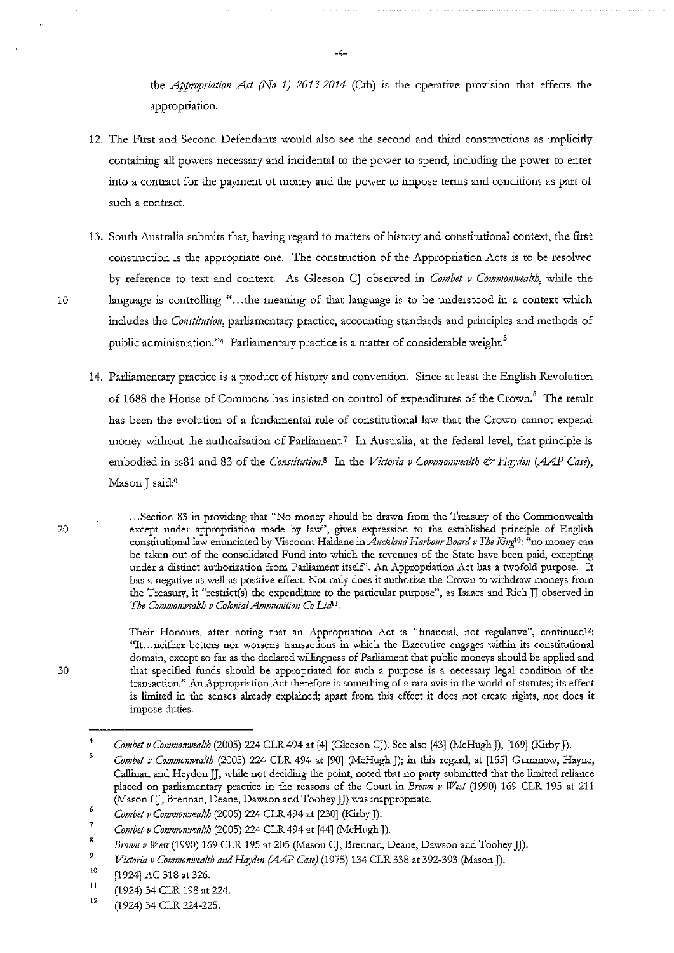the *Appropriation Act (No 1) 2013-2014* (Cth) is the operative provision that effects the appropriation.

- 12. The First and Second Defendants would also see the second and third constructions as implicitly containing all powers necessary and incidental to the power to spend, including the power to enter into a contract for the payment of money and the power to impose terms and conditions as part of **such a contract.**
- 13. South Australia submits that, having regard to matters of history and constitutional context, the fust construction is the appropriate one. The construction of the Appropriation Acts is to be resolved by reference to text and context. As Gleeson CJ observed in *Combet v Commonwealth*, while the 10 language is controlling " ... the meaning of that language is to be understood in a context which includes the *Constitution*, parliamentary practice, accounting standards and principles and methods of public administration."<sup>4</sup> Parliamentary practice is a matter of considerable weight.<sup>5</sup>
	- 14. Parliamentary practice is a product of history and convention. Since at least the English Revolution of 1688 the House of Commons has insisted on control of expenditures of the Crown.<sup>6</sup> The result has been the evolution of a fundamental rule of constitutional law that the Crown cannot expend money without the authorisation of Parliament.<sup>7</sup> In Australia, at the federal level, that principle is embodied in ss81 and 83 of the *Constitution*.<sup>8</sup> In the *Victoria v Commonwealth*  $\mathscr O$  *Hayden (AAP Case)*, Mason J said:9

.. **. Section 83 in providing that "No money should be drawn from the Treasury of the Commonwealth except under appropriation made by law", gives expression to the established principle of English constitutional law enunciated by \liscount Haldane** *inAucklmrd Harbour Board v The Ki11g10:* **"no money can be taken out of the consolidated Fund into which the revenues of the State have been paid, excepting under a distinct authorization from Parliament itself'. An Appropriation .Act has a twofold purpose. It has a negative as well as positive effect. Not only does it authorize the Crown to withdraw moneys from**  the Treasury, it "restrict(s) the expenditure to the particular purpose", as Isaacs and Rich JJ observed in The Commonwealth v Colonial Ammunition Co Ltd<sup>11</sup>.

**Their Honours, after noting that an Appropriation Act is "financial, not regulative", continued12: "It ... neither betters nor worsens transactions in which the Executive engages within its constitutional**  domain, except so far as the declared willingness of Parliament that public moneys should be applied and **that specified funds should be appropriated for such a purpose is a necessary legal condition of the transaction." An Appropriation .Act therefore is something of a rara avis in the world of statutes; its effect**  is limited in the senses already explained; apart from this effect it does not create rights, nor does it **impose duties.** 

20

<sup>4</sup>  *Combet v Commomvea!th* (2005) 224 CLR 494 at [4] (Gleeson CJ). See also [43] (McHugh J), [169] (Kirby J).

<sup>5</sup>  *Combet v Commomvea!th* (2005) 224 CLR 494 at [90] (McHugh J); in this regard, at [155] Gummow, Hayne, Callinan and Heydon JJ, while not deciding the point, noted that no party submitted that the limited reliance placed on parliamentary practice in the reasons of the Court in *Brown v West* (1990) 169 CLR 195 at 211 **QY.fason CJ, Brennan, Deane, Dawson and Toohey JJ) was inappropriate.** 

*<sup>6</sup>  Combe! v Commomvealth* (2005) 224 CLR 494 at [230] (Kirby J).

<sup>7</sup>  *Combet v Common?Vealth* (2005) 224 CLR 494 at [44] (McHugh J).

<sup>8</sup>  Brown v West (1990) 169 CLR 195 at 205 (Mason CJ, Brennan, Deane, Dawson and Toohey JJ).

<sup>9</sup>  Victoria v Commonwealth and Hayden (AAP Case) (1975) 134 CLR 338 at 392-393 (Mason J).

<sup>10</sup>  [1924] AC 318 at 326.

<sup>11</sup>  (1924) 34 CLR 198 at 224.

<sup>12</sup>  (1924) 34 CLR 224-225.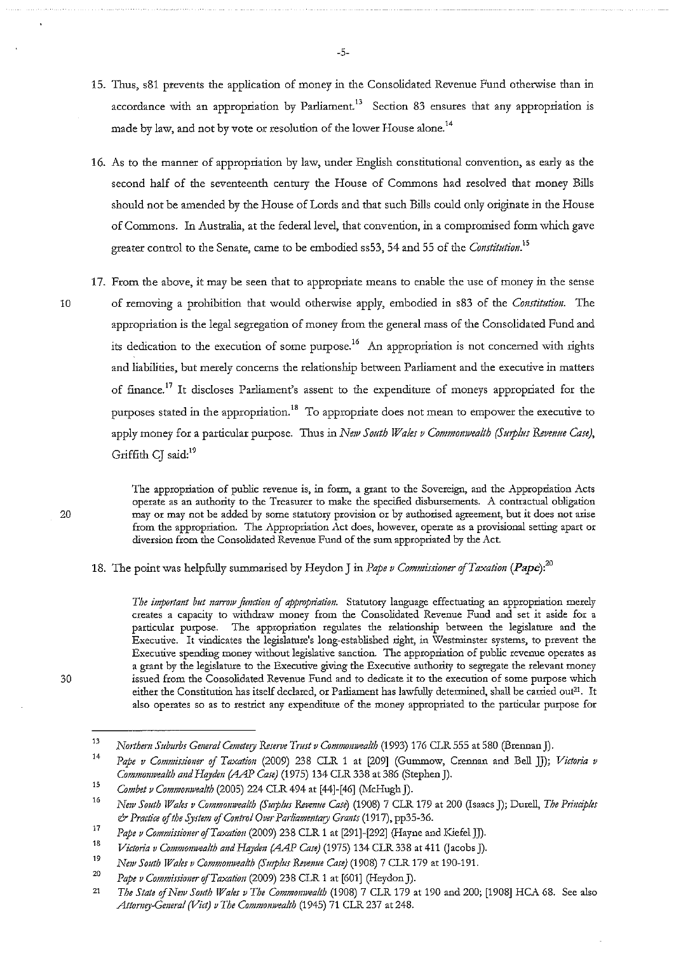15. Thus, s81 prevents the application of money in the Consolidated Revenue Fund otherwise than in accordance with an appropriation by Parliament.<sup>13</sup> Section 83 ensures that any appropriation is **made by law, and not by vote or resolution of the lower House alone. <sup>14</sup>**

-5-

- 16. As to the manner of appropriation by law, under English constitutional convention, as early as the second half of the seventeenth century the House of Commons had resolved that money Bills should not be amended by the House of Lords and that such Bills could only originate in the House of Commons. In Australia, at the federal level, that convention, in a compromised form which gave greater control to the Senate, came to be embodied ss53, 54 and 55 of the *Constitution*.<sup>15</sup>
- 17. From the above, it may be seen that to appropriate means to enable the use of money in the sense 10 of removing a prohibition that would otherwise apply, embodied in s83 of the *Constitution*. The appropriation is the legal segregation of money from the general mass of the Consolidated Fund and its dedication to the execution of some purpose.<sup>16</sup> An appropriation is not concerned with rights **and liabilities, but merely concerns the relationship between Parliament and the executive in matters**  of finance.<sup>17</sup> It discloses Parliament's assent to the expenditure of moneys appropriated for the purposes stated in the appropriation.<sup>18</sup> To appropriate does not mean to empower the executive to apply money for a particular purpose. Thus in *New South Wales v Commonwealth (Surplus Revenue Case)*, Griffith CI said:<sup>19</sup>

**The appropriation of public revenue is, in form, a grant to the Sovereign, and the Appropriation Acts operate as an authority to the Treasurer to make the specified disbursements. A contractual obligation may or may not be added by some statutory provision or by authorised agreement, but it does not arise from the appropriation. The Appropriation Act does, however, operate as a provisional setting apart or diversion from the Consolidated Revenue Fund of the sum appropriated by the Act.** 

18. The point was helpfully summarised by Heydon J in *Pape v Commissioner ofTaxatiou (Pape):<sup>20</sup>*

*The imp01ta11t but 11mrow ju11ction* **of** *appropriatio11.* **Statutory language effectuating an appropriation merely creates a capacity to withdraw money from the Consolidated Revenue Fund and set it aside for a particular purpose. The appropriation regulates the relationship between the legislature and the Executive. It vindicates the legislature's long-established right, in Westminster systems, to prevent the**  Executive spending money without legislative sanction. The appropriation of public revenue operates as **a grant by the legislature to the Executive giving the Executive authority to segregate the relevant money issued from the Consolidated Revenue Fund and to dedicate it to the execution of some purpose which either the Constitution has itself declared, or Parliament has lawfully determined, shall be carried out21. It also operates so as to restrict any expenditure of the money appropriated to the particular purpose for** 

20

<sup>13</sup>  *Notthem Suburbs General Cemetery Reserve Tl7!st v Commomvealth* (1993) 176 CLR 555 at 580 (Brennan]).

<sup>14</sup>  *Pape v Commissiouer of Taxation* (2009) 238 CLR 1 at [209] (Gummow, Crennan and Bell JJ); *Victoria v Commouwealth and Haydeu (AAP Case)* (1975) 134 CLR 338 at 386 (Stephen J).

<sup>15</sup> *Combet v Commonwealth* (2005) 224 CLR 494 at [44]-[46] (McHugh J).

<sup>16</sup>  *Ne1v South Wales v Commouwealth {Smplus Reveuue Case)* (1908) 7 CLR 179 at 200 (Isaacs J); Durell, *The Priuciples*  & *Practice of the System of Cout1vl Over Parliamentary Grants* (1917), pp35-36.

<sup>17</sup>  *Pape v Commissiouer ofTaxatiou* (2009) 238 CLR 1 at [291]-[292] (Hayne and Kiefel JJ).

<sup>18</sup>  *Victotia v Commouwealth and Hayden (AAP Case)* (1975) 134 CLR 338 at 411 Gacobs J).

<sup>19</sup>  *New South Wales v Commonwealth (Smplus Revenue Case)* (1908) 7 CLR 179 at 190-191.

<sup>20</sup>  Pape v Commissioner of Taxation (2009) 238 CLR 1 at [601] (Heydon J).

<sup>21</sup>  *The State of New South Wales v The Commonwealth* (1908) 7 CLR 179 at 190 and 200; [1908] HCA 68. See also *Attomey-Gmeral (Viet) v The Commomvealth* (1945) 71 CLR 237 at 248.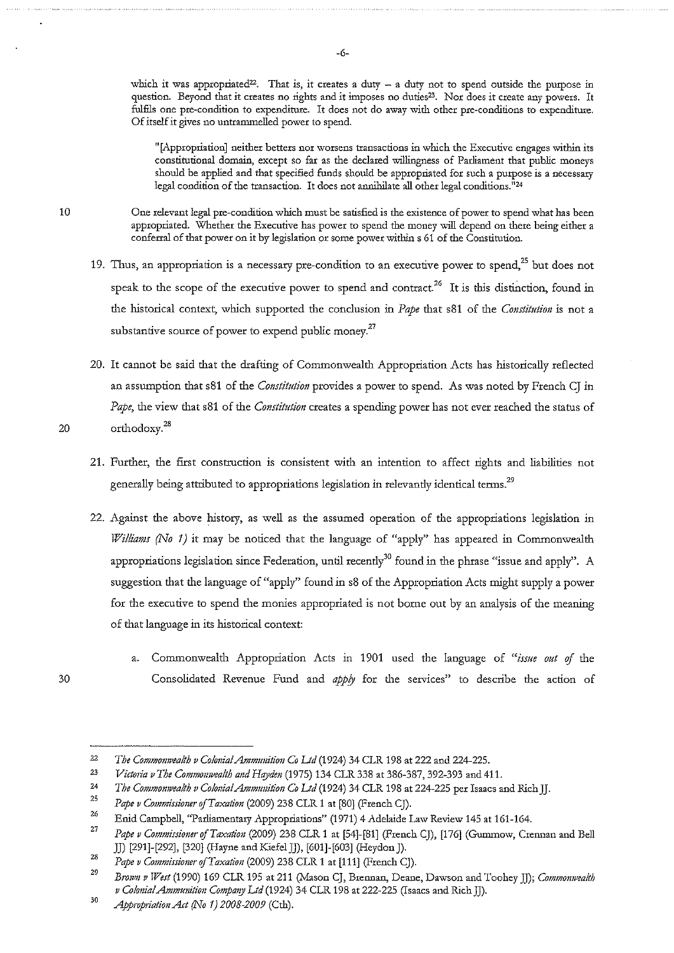which it was appropriated<sup>22</sup>. That is, it creates a duty - a duty not to spend outside the purpose in question. Beyond that it creates no rights and it imposes no duties<sup>23</sup>. Nor does it create any powers. It fulfils one pre-condition to expenditure. It does not do away with other pre-conditions to expenditure. **Of itself it gives no untrammelled power to spend.** 

**"[Appropriation] neither betters nor worsens transactions in which the Executive engages within its constitutional domain, except so far as the declared willingness of Parliament that public moneys**  should be applied and that specified funds should be appropriated for such a purpose is a necessary **legal condition of the transaction. It does not annihilate all other legal conditions. <sup>11</sup> <sup>24</sup>**

**One relevant legal pre-condition which must be satisfied is the existence of power to spend what has been appropriated. Whether the Executive has power to spend the money will depend on there being either a conferral of that power on it by legislation or some power within s 61 of the Constitution.** 

- **19. Thus, an appropriation is a necessary pre-condition to an executive power to spend,25 but does not**  speak to the scope of the executive power to spend and contract.<sup>26</sup> It is this distinction, found in the historical context, which supported the conclusion in *Pape* that s81 of the *Constitution* is not a substantive source of power to expend public money.<sup>27</sup>
- 20. It cannot be said that the drafting of Commonwealth Appropriation Acts has historically reflected an assumption that s81 of the *Constitution* provides a power to spend. As was noted by French CJ in *Pape,* the view d1at s81 of the *Constitution* creates a spending power has not ever reached the status of 20  $\text{orthodoxy.}^{28}$ 
	- **21. Furrl.1er:, rl.1e first construction is consistent with an intention to affect rights and liabilities not**  generally being attributed to appropriations legislation in relevantly identical terms.<sup>29</sup>
	- 22. Against the above history, as well as the assumed operation of the appropriations legislation in *Williams (No 1)* it may be noticed that the language of "apply" has appeared in Commonwealth appropriations legislation since Federation, until recently<sup>30</sup> found in the phrase "issue and apply". A suggestion that the language of "apply" found in s8 of the Appropriation Acts might supply a power for the executive to spend the monies appropriated is not borne out by an analysis of the meaning of that language in its historical context:
- a. Commonwealth Appropriation Acts in 1901 used the language of "issue out of the 30 Consolidated Revenue Fund and *apply* for the services" to describe the action of

<sup>22</sup>  *The Commonwealth v Co!onia!Ammtmition Co Ud* (1924) 34 CLR 198 at 222 and 224-225.

<sup>23</sup>  *Victmia v The Commonwealth and Hqyden* (1975) 134 CLR 338 at 386-387, 392-393 and 411.

<sup>24</sup>  *The Commomvealth v Co!onia!Ammtmition Co Ud* (1924) 34 CLR 198 at 224-225 per Isaacs and Rich JJ.

<sup>25</sup>  Pape v Commissioner of Taxation (2009) 238 CLR 1 at [80] (French CJ).

<sup>26</sup>  Enid Campbell, "Parliamentary Appropriations" (1971) 4 Adelaide Law Review 145 at 161-164.

<sup>27</sup>  Pape v Commissioner of Taxation (2009) 238 CLR 1 at [54]-[81] (French CJ), [176] (Gummow, Crennan and Bell JJ) [291]-[292], [320] (Hayne and Kiefel JJ), [601]-[603] (Heydon J).

<sup>28</sup>  Pape v Commissioner of Taxation (2009) 238 CLR 1 at [111] (French CJ).

<sup>29</sup>  *Btvtvn v West* (1990) 169 CLR 195 at 211 (Mason CJ, Brennan, Deane, Dawson and Toohey JJ); *Commomvea!th v Colonia/Ammunition Company Ltd* (1924) 34 CLR 198 at 222-225 (Isaacs and RichJJ).

<sup>30</sup>  *Approptiation Act (No 1) 2008-2009* (Cth).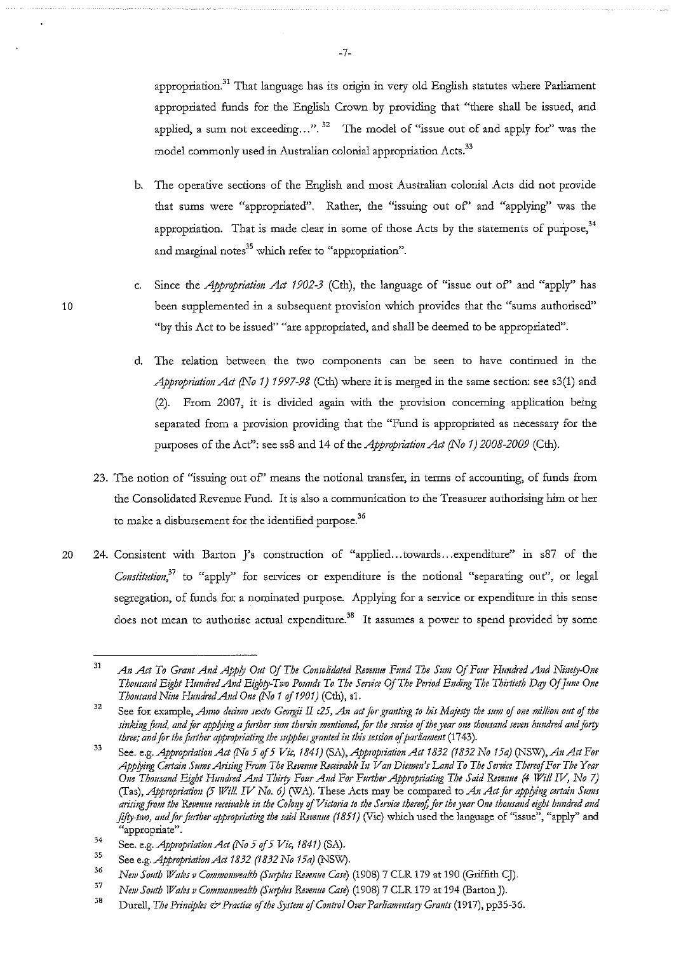appropriation.<sup>31</sup> That language has its origin in very old English statutes where Parliament appropriated funds for the English Crown by providing that "there shall be issued, and applied, a sum not exceeding ...".<sup>32</sup> The model of "issue out of and apply for" was the model commonly used in Australian colonial appropriation Acts.<sup>33</sup>

- b. The operative sections of the English and most Australian colonial Acts did not provide **that sums were "appropriated". Rather, the "issuing out of' and "applying" was the**  appropriation. That is made clear in some of those Acts by the statements of purpose,  $34$ **and marginal notes35 which refer to "appropriation".**
- c. Since the *Appropriation Act 1902-3* (Cth), the language of "issue out of" and "apply" has 10 been supplemented in a subsequent provision which provides that the "sums authorised" "by this Act to be issued" "are appropriated, and shall be deemed to be appropriated".
	- d. The relation between the two components can be seen to have continued in the *Appropriation Act (No 1) 1997-98* (Cth) where it is merged in the same section: see s3(1) and (2). From 2007, it is divided again with the provision concetning application being separated from a provision providing that the "Fund is appropriated as necessary for the purposes of the Act": see ss8 and 14 of the *Appropriation Act (No 1) 2008-2009* (Cth).
	- **23. The notion of "issuing out of' means the notional transfer, in terms of accounting, of funds from**  the Consolidated Revenue Fund. It is also a communication to the Treasurer authorising him or her to make a disbursement for the identified purpose. $^{36}$
- 20 24. Consistent with Barton J's construction of "applied...towards...expenditure" in s87 of the *Constitution*<sup>37</sup> to "apply" for services or expenditure is the notional "separating out", or legal segregation, of funds for a nominated purpose. Applying for a service or expenditure in this sense **does not mean to authorise actual expencliture.38 It assumes a power to spend provided by some**

<sup>31</sup>  An Act To Grant And Apply Out Of The Consolidated Revenue Fund The Sum Of Four Hundred And Ninety-One *Thousand Eight Hundred And Eighty-Two Pounds To The Service Of The Period Ending The Thirtieth Day Of June One Thousa11d Ni11e HmulredA11d One (No 1 of1901)* (Cth), sl.

<sup>32</sup>  **See for example,** *Anno decimo sexto Georgii II c25, An act for granting to his Mqjesty the sum* **of** *one million out of the sinking fund, and for appjying a fmther simt therein mmtioned, for the service* **of** *the )'Car om thousand seven hundred and forty three; and for the further appropriating the supplies granted in this session of parliament* (1743).

<sup>33</sup>  See. e.g. *Appropriation Act (No 5 of 5 Vic, 1841) (SA), Appropriation Act 1832 (1832 No 15a) (NSW), An Act For Appjying Certain Sums Arising From The Revenue &ceivable In Va11 Diemm's Land To The Service ThereofFm·The Year One Thousand Eight Htmd'"d And Thirty Four A11d For Further Apptvpriating The Said Reve11ue (4 Will* W, *No 7)*  (Tas), *Appropriation (5 Will IV No. 6)* (WA). These Acts may be compared to *An Act for applying certain Sums* arising from the Revenue receivable in the Colony of Victoria to the Service thereof, for the year One thousand eight hundred and *fifty-two, and for further appropriating the said Revenue (1851)* (Vic) which used the language of "issue", "apply" and "appropriate".

<sup>34</sup>  See. e.g. *Appropriation Act* (No 5 of 5 Vic, 1841) (SA).

<sup>35</sup>  See e.g. *Approptiation Act 1832 (1832 No 15a)* (NSW).

<sup>36</sup>  *New South Wales v Commonwealth (Surplus Revenue Case*) (1908) 7 CLR 179 at 190 (Griffith CJ).

<sup>37</sup>  *NBJv South Wales v Commomvealth (S111plus Revenue Case)* (1908) 7 CLR 179 at 194 (Barton]).

<sup>38</sup>  Durell, *The Principles & Practice of the System of Control Over Parliamentary Grants* (1917), pp35-36.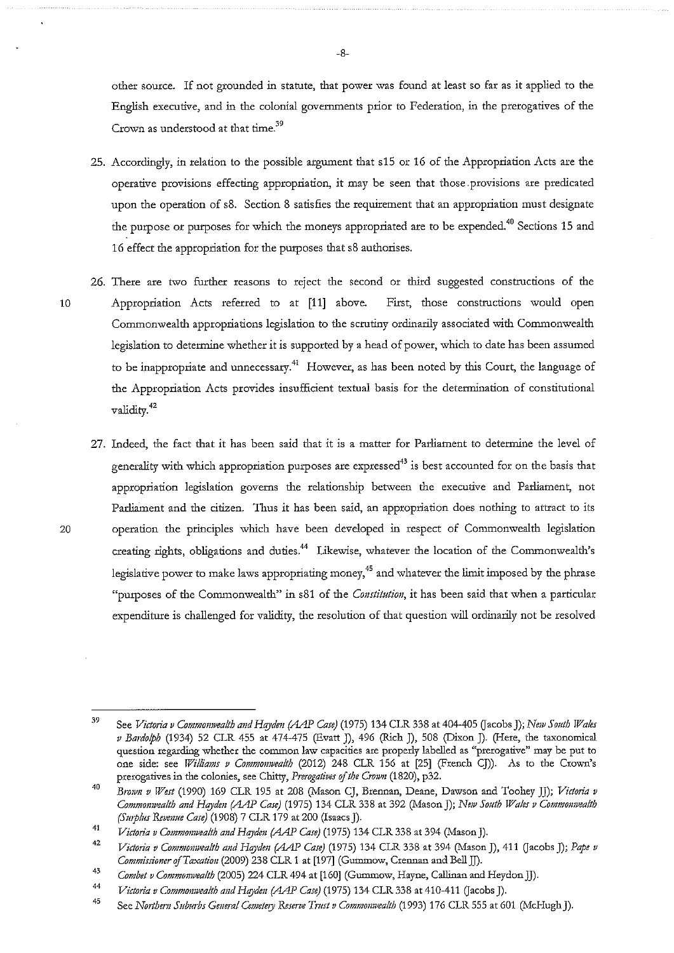other source. If not grounded in statute, that power was found at least so far as it applied to the English executive, and in the colonial governments prior to Federation, in the prerogatives of the **Crown as understood at that time.<sup>39</sup>**

- 25. Accordingly, in relation to the possible argument that s15 or 16 of the Appropriation Acts are the operative provisions effecting appropriation, it may be seen that those provisions are predicated upon the operation of s8. Section 8 satisfies the requirement that an appropriation must designate the purpose or purposes for which the moneys appropriated are to be expended.<sup>40</sup> Sections 15 and 16 effect the appropriation for the purposes that s8 authorises.
- 10
- 26. There are two further reasons to reject the second or third suggested constructions of the Appropriation Acts referred to at [11] above. **First, those consttuctions would open**  Commonwealth appropriations legislation to the scrutiny ordinarily associated with Commonwealth legislation to determine whether it is supported by a head of power, which to date has been assumed to be inappropriate and unnecessary.<sup>41</sup> However, as has been noted by this Court, the language of the Appropriation Acts provides insufficient textual basis for the determination of constitutional validity. 42
- 27. Indeed, the fact that it has been said that it is a matter for Parliament to determine the level of generality with which appropriation purposes are expressed<sup>43</sup> is best accounted for on the basis that appropriation legislation governs the relationship between the executive and Parliament, not Parliament and the citizen. Thus it has been said, an appropriation does nothing to attract to its 20 operation the principles which have been developed in respect of Commonwealth legislation creating rights, obligations and duties.<sup>44</sup> Likewise, whatever the location of the Commonwealth's legislative power to make laws appropriating money.<sup>45</sup> and whatever the limit imposed by the phrase **"purposes of the Commonwealth" in s81 of the** *Constitution,* **it has been said that when a particular**  expenditure is challenged for validity, the resolution of that question will ordinarily not be resolved

-8-

<sup>39</sup>  See *Victoria v Commonwealth and Hayden (AAP Case)* (1975) 134 CLR 338 at 404-405 (Jacobs J); *New South Wales v Bardolph* (1934) 52 CLR 455 at 474-475 (Evatt J), 496 (Rich J), 508 (Dixon J). (Here, the taxonomical **question regarding whether the common law capacities are properly labelled as "prerogative" may be put to**  one side: see *Williams v Commonwealth* (2012) 248 CLR 156 at [25] (French CJ)). As to the Crown's prerogatives in the colonies, see Chitty, *Prerogatives of the Crown* (1820), p32.

<sup>40</sup>  *Bmvn v West* (1990) 169 CLR 195 at 208 (Mason CJ, Brennan, Deane, Dawson and Toohey JJ); *Victoria v Commomvealth and Hqydm* 0AJ> *Case)* (1975) 134 CLR 338 at 392 (Mason]); *Ne!v South Wales v Commomvealth (Smplus Revenue Case)* (1908) 7 CLR 179 at 200 (Isaacs J).

<sup>41</sup>  *Victoria v Commonwealth and Hayden (AAP Case)* (1975) 134 CLR 338 at 394 (Mason J).

<sup>42</sup>  *Victoria v Commonwealth and Hayden (AAP Case)* (1975) 134 CLR 338 at 394 (Mason J), 411 (Jacobs J); *Pape v CommissionerojTaxation* (2009) 238 CLR 1 at [197] (Gummow, Crennan and BellJJ).

<sup>43</sup>  *Combet v Commonwealth* (2005) 224 CLR 494 at [160] (Gummow, Hayne, Callinan and Heydon JJ).

<sup>44</sup>  *Victoria v Commonwealth and Hayden (AAP Case)* (1975) 134 CLR 338 at 410-411 (Jacobs J).

<sup>45</sup>  See *Northern Suburbs General Cemetery Reserve Trust v Commonwealth* (1993) 176 CLR 555 at 601 (McHugh J).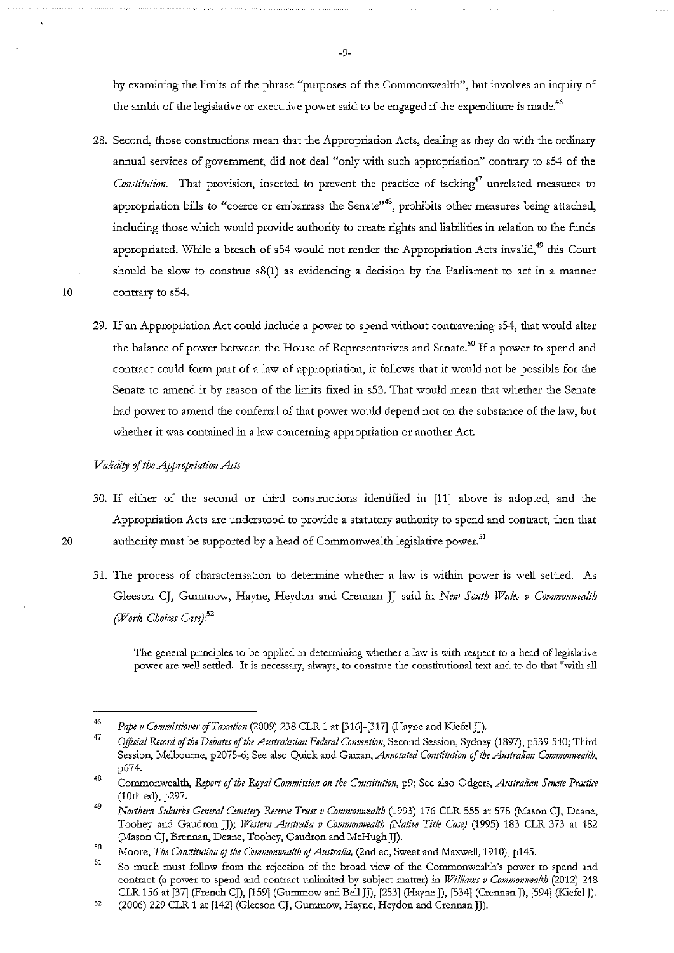by examining the limits of the phrase "purposes of the Commonwealth", but involves an inquiry of the ambit of the legislative or executive power said to be engaged if the expenditure is made.<sup>46</sup>

- 28. Second, those constructions mean that the Appropriation Acts, dealing as they do with the ordinary annual services of government, did not deal "only with such appropriation" contrary to s54 of the *Constitution.* That provision, inserted to prevent the practice of tacking<sup>47</sup> unrelated measures to **appropriation bills to "coerce or embarrass the Senate"48, prohibits other measures being attached,**  including those which would provide authority to create rights and liabilities in relation to the funds appropriated. While a breach of s54 would not render the Appropriation Acts invalid,<sup>49</sup> this Court should be slow to construe s8(1) as evidencing a decision by the Parliament to act in a manner 10 contrary to s54.
	- 29. If an Appropriation Act could include a power to spend without contravening s54, that would alter the balance of power between the House of Representatives and Senate.<sup>50</sup> If a power to spend and contract could form part of a law of appropriation, it follows that it would not be possible for the Senate to amend it by reason of the limits fixed in s53. That would mean that whether the Senate had power to amend the conferral of that power would depend not on the substance of the law, but whether it was contained in a law concerning appropriation or another Act.

## *Validi!J* if *the Appropriation Acts*

- 30. If either of the second or third constructions identified in [11] above is adopted, and the Appropriation Acts are understood to provide a statutory authority to spend and contract, then that 20 authority must be supported by a head of Commonwealth legislative power.<sup>51</sup>
	- **31. The process of characterisation to detetmine whether a law is within power is well setded. As**  Gleeson CJ, Gummow, Hayne, Heydon and Crennan JJ said in *New South Wales v Commonwealth (JV'ork Choices Case}:'<sup>2</sup>*

**The general principles to be applied in determining whether a law is with respect to a head of legislative power are well settled. It is necessary, always, to construe the constitutional te}.."t and to do that 11with all** 

-9-

<sup>46</sup>  Pape v Commissioner of Taxation (2009) 238 CLR 1 at [316]-[317] (Hayne and Kiefel JJ).

<sup>47</sup>  48 Official Record of the Debates of the Australasian Federal Convention, Second Session, Sydney (1897), p539-540; Third **Session, Melbourne, p2075-6; See also Quick and Garran,** *Annotated Constitution* **of** *the Australian Commonwealth,*  p674.

**Commonwealth,** *Report of the Royal Commission on the Constitution,* **p9; See also Odgers,** *Australian Smate Practice*  (lOth ed), p297.

<sup>49</sup>  *Northem Suburbs General Cemetery Reserve Tmst v Commomvealth* (1993) 176 CLR 555 at 578 (Mason CJ, Deane, Toohey and Gaudxon JJ); *Westem Altstralia v Commouwealth (Native Title Case)* (1995) 183 CLR 373 at 482 (Mason CJ, Brennan, Deane, Toohey, Gaudron and McHugh JJ).

<sup>50</sup>  Moore, *The Constitution of the Commonwealth of Australia*, (2nd ed, Sweet and Maxwell, 1910), p145.

<sup>51</sup>  52 **So much must follow from the rejection of the broad view of the Commonwealth's power to spend and contract (a power to spend and contract unlimited by subject matter) in** *Williams v Commomvea/th* **(2012) 248**  CLR 156 at [37] (French CJ), [159] (Gummow and Bell JJ), [253] (Hayne J), [534] (Crennan J), [594] (Kiefel J).

<sup>(2006) 229</sup> CLR 1 at [142] (Gleeson CJ, Gummow, Hayne, Heydon and Crennan JJ).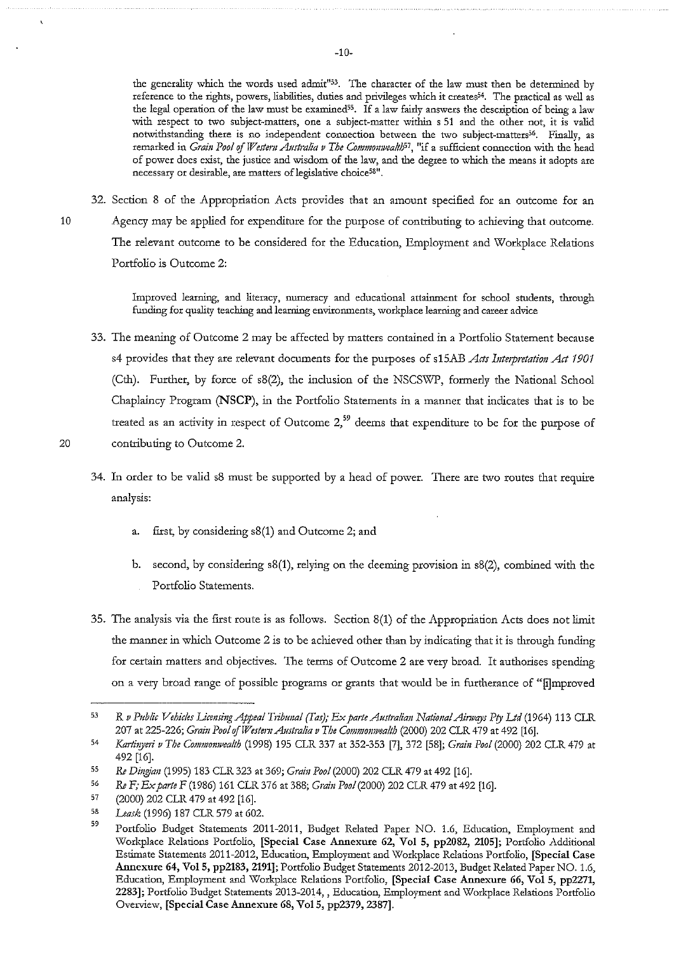**the generality which the words used admit"53. The character of the law must then be determined by reference to the rights, powers, liabilities, duties and privileges which it creates54. The practical as well as the legal operation of the law must be examined55. If a law fairly answers the description of being a law with respect to two subject-matters, one a subject-matter within s 51 and the other not, it is valid**  notwithstanding there is no independent connection between the two subject-matters<sup>56</sup>. Finally, as **remarked in** *Grain Pool* **of** *Westem Australia v The Commomvea/t/;57,* **<sup>11</sup> if a sufficient connection \¥-i.th the head of power does exist, the justice and wisdom of the law, and the degree to which the means it adopts are necessary or desirable, are matters oflegislative choice5811 •** 

32. Section 8 of the Appropriation Acts provides that an amount specified for an outcome for an

10 Agency may be applied for expenditure for the purpose of contributing to achieving that outcome. The relevant outcome to be considered for the Education, Employment and Workplace Relations Portfolio is Outcome 2:

> **Improved learning, and literacy, numeracy and educational attainment for school students, thxough funding for quality teaching and learning environments, workplace learniog and career advice**

33. The meaning of Outcome 2 may be affected by matters contained in a Portfolio Statement because s4 provides that they are relevant documents for the purposes of s15AB *Acts Interpretation Act 1901* (Cth). Further, by force of s8(2), the inclusion of the NSCSWP, formerly the National School Chaplaincy Program (NSCP), in the Portfolio Statements in a manner that indicates that is to be treated as an activity in respect of Outcome  $2<sub>1</sub>$ <sup>59</sup> deems that expenditure to be for the purpose of 20 contributing to Outcome 2.

- 34. In order to be valid s8 must be supported by a head of power. There are two routes that require analysis:
	- a. first, by considering s8(1) and Outcome 2; and
	- b. second, by considering  $s(1)$ , relying on the deeming provision in  $s(2)$ , combined with the Portfolio Statements.
- 35. The analysis via the first route is as follows. Section 8(1) of the Appropriation Acts does not limit the manner in which Outcome 2 is to be achieved other than by indicating that it is through funding for certain matters and objectives. The terms of Outcome 2 are very broad. It authorises spending on a very broad range of possible programs or grants that would be in furtherance of "[i]mproved

<sup>53</sup>  R *v Public Vehicles licensing Appeal T1ibtmal (Tas); Ex pmte Australiau National Ainvqys Pry Ltd* (1964) 113 CLR 207 at 225-226; *Grain Pool of Western Australia v The Commonwealth (2000)* 202 CLR 479 at 492 [16].

<sup>54</sup>  *Kartinyeri v The Commonwealth (1998) 195 CLR 337 at 352-353 [7], 372 [58]; <i>Grain Pool (2000) 202 CLR 479 at* 492 [16].

<sup>55</sup>  *Re Dingian* (1995) 183 CLR 323 at 369; *Grain Pool* (2000) 202 CLR 479 at 492 [16].

<sup>56</sup>  *ReF; Ex parte* F (1986) 161 CLR 376 at 388; *Grain Pool* (2000) 202 CLR 479 at 492 [16].

<sup>57</sup>  (2000) 202 CLR 479 at 492 [16].

<sup>58</sup>  *Leask* (1996) 187 CLR 579 at 602.

<sup>59</sup>  Portfolio Budget Statements 2011-2011, Budget Related Paper NO. 1.6, Education, Employment and Workplace Relations Portfolio, [Special Case Annexure 62, Vol 5, pp2082, 2105]; Portfolio .Additional Estimate Statements 2011-2012, Education, Employment and Workplace Relations Portfolio, [Special Case Annexure 64, Vol5, pp2183, 2191]; Portfolio Budget Statements 2012-2013, Budget Related Paper NO. 1.6, Education, Employment and Workplace Relations Portfolio, [Special Case Annexure 66, Vol 5, pp2271, **2283]; Portfolio Budget Statements 2013-2014,, Education, Employment and Workplace Relations Portfolio**  Overview, [Special Case Annexure 68, Vol 5, pp2379, 2387].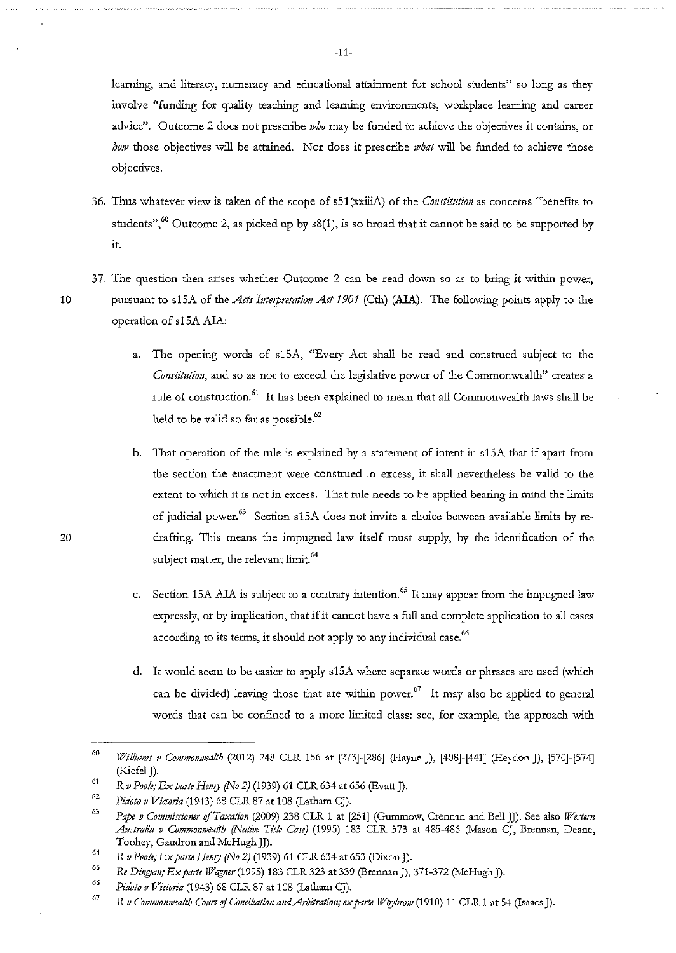**learning, and literacy, numeracy and educational attainment for school students'' so long as they**  involve "funding for quality teaching and learning environments, workplace learning and career advice". Outcome 2 does not prescribe *who* may be funded to achieve the objectives it contains, or *how* those objectives will be attained. Nor does it prescribe *what* will be funded to achieve those objectives.

- 36. Thus whatever view is taken of the scope of s51 (xxiiiA) of the *Constitution* as concerns "benefits to students",<sup>60</sup> Outcome 2, as picked up by  $s(1)$ , is so broad that it cannot be said to be supported by it.
- **37. The question then arises whether Outcome 2 can be read down so as to bring it within power,**  10 pursuant to s15A of the *Acts Interpretation Act 1901* (Cth) (AIA). The following points apply to the operation of s15A AIA:
	- a. The opening words of slSA, "Every Act shall be read and construed subject to the *Constitution,* **and so as not to exceed the legislative power of the Commonwealth" creates a**  rule of construction.<sup>61</sup> It has been explained to mean that all Commonwealth laws shall be held to be valid so far as possible. $^{62}$
	- b. That operation of the rule is explained by a statement of intent in s15A that if apart from **the section the enactment were construed in excess, it shall nevertheless be valid to the**  extent to which it is not in excess. That rule needs to be applied bearing in mind the limits of judicial power.<sup>63</sup> Section s15A does not invite a choice between available limits by redrafting. This means the impugned law itself must supply, by the identification of the subject matter, the relevant limit.<sup>64</sup>
	- c. Section 15A ALA is subject to a contrary intention.<sup>65</sup> It may appear from the impugned law expressly, or by implication, that if it cannot have a full and complete application to all cases according to its terms, it should not apply to any individual case.<sup>66</sup>
	- d. It would seem to be easier to apply s15A where separate words or phrases are used (which can be divided) leaving those that are within power.<sup>67</sup> It may also be applied to general words that can be confined to a more limited class: see, for example, the approach with

<sup>60</sup> *Williams v Commonwealth* (2012) 248 CLR 156 at [273]-[286] (Hayne J), [408]-[441] (Heydon J), [570]-[574] (Kiefel J). G1

*R v Poole; Ex pmte Hemy (No 2)* (1939) 61 CLR 634 at 656 (Evatt J).

<sup>62</sup>  *Pidoto v Victoria* (1943) 68 CLR 87 at 108 (Latham CJ).

*G3*  Pape v Commissioner of *Taxation* (2009) 238 CLR 1 at [251] (Gummow, Crennan and Bell JJ). See also *Western* Australia v Commonwealth (Native Title Case) (1995) 183 CLR 373 at 485-486 (Mason CJ, Brennan, Deane, Toohey, Gaudron and McHugh JJ).

<sup>64</sup>  *R v Poole; Ex pmte Hemy (No 2)* (1939) 61 CLR 634 at 653 (Dixon]).

*G5 Re Dingjan; Ex pmte Wagmr(1995)* 183 CLR 323 at 339 (Brennan]), 371-372 (McHugh]).

<sup>6</sup>G Pidoto v Victoria (1943) 68 CLR 87 at 108 (Latham CJ).

G7 *R v Commonwealth Conrt of Conciliation and Arbitration; ex parte Whybrow* (1910) 11 CLR 1 at 54 (Isaacs J).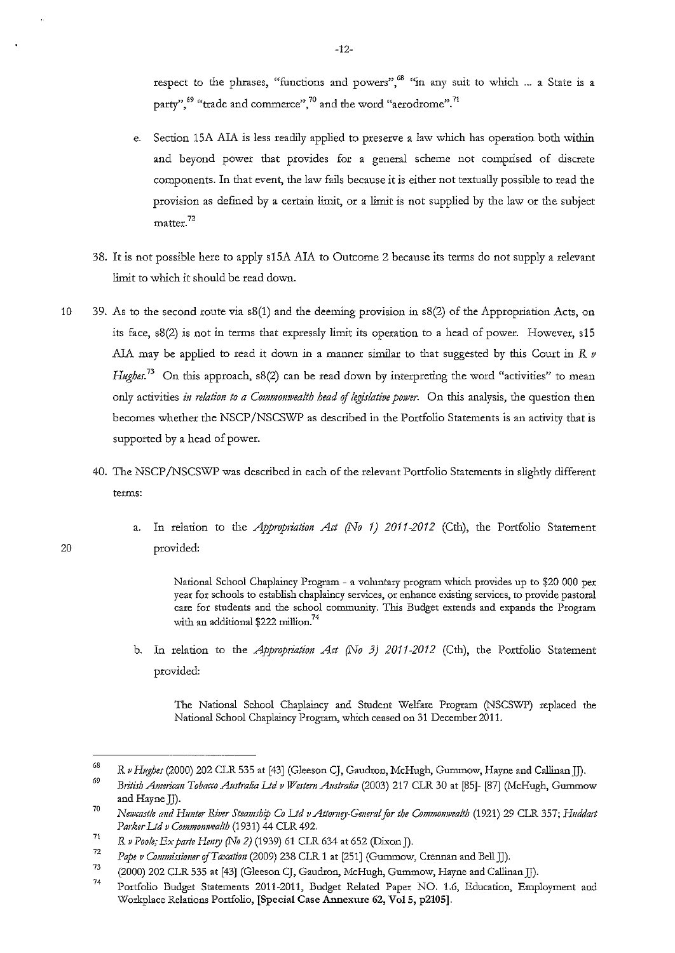**respect to the phrases, "functions and powers",68 "in any suit to which** ... **a State is a party",69 "trade and commerce",70 and the word "aerodrome".71** 

- e. Section 15A AlA is less readily applied to preserve a law which has operation both within and beyond power that provides for a general scheme not comprised of discrete components. In that event, the law fails because it is either not textually possible to read the provision as defined by a certain limit, or a limit is not supplied by the law or the subject **matter. <sup>72</sup>**
- 38. It is not possible here to apply s15A AlA to Outcome 2 because its terms do not supply a relevant limit to which it should be read down.
- 10 39. As to the second route via  $s(1)$  and the deeming provision in  $s(2)$  of the Appropriation Acts, on its face, s8(2) is not in terms that expressly limit its operation to a head of power. However, s15 AlA may be applied to read it down in a manner similar to that suggested by this Court in *R v Hughes.*<sup>73</sup> On this approach, s8(2) can be read down by interpreting the word "activities" to mean only activities *iu 1datiou to a Commonwealth head* of *legislative power.* On rlus analysis, the question then becomes whether the NSCP/NSCSWP as described in the Portfolio Statements is an activity that is supported by a head of power.
	- 40. The NSCP /NSCSWP was described in each of the relevant Portfolio Statements in slighrly different **terms:**
- a. In relation to the *Appropriation Act (No 1) 2011-2012* (Cth), the Portfolio Statement 20 provided:

National School Chaplaincy Program - a voluntary program which provides up to \$20 000 per **year for schools to establish chaplaincy services, or enhance existing services, to provide pastoral**  care for students and the school community. This Budget extends and expands the Program with an additional \$222 million.<sup>74</sup>

b. In relation to the *Appropriation Act (No 3) 2011-2012* (Cth), the Portfolio Statement provided:

The National School Chaplaincy and Student Welfare Program (NSCSWP) replaced the National School Chaplaincy Program, which ceased on 31 December 2011.

<sup>68</sup>  R *v Hughes* (2000) 202 CLR 535 at [43] (Gleeson CJ, Gaudron, McHugh, Gummow, Hayne and Callinan JJ).

<sup>69</sup>  *British Americmz Tobacco Australia Ltd v Western Aush"alia* (2003) 217 CLR 30 at [85]- [87] (McHugh, Gummow and Hayne JJ).

<sup>70</sup>  *Newcastle and Hunter River Steamship Co Ltd v Attorney-General for the Commonwealth* (1921) 29 CLR 357; *Huddart Parker Ltd v Commonwealth* (1931) 44 CLR 492.

<sup>71</sup>  R *v Poole; Ex parte Hemy (1\To 2)* (1939) 61 CLR 634 at 652 (Dixon J).

<sup>72</sup>  *Pape v Commissioner of Taxation (2009) 238 CLR 1 at [251] (Gummow, Crennan and Bell JJ).* 

<sup>73</sup>  (2000) 202 CLR 535 at [43] (Gleeson CJ, Gaudron, McHugh, Gummow, Hayne and Callinan]]).

<sup>74</sup>  Portfolio Budget Statements 2011-2011, Budget Related Paper NO. 1.6, Education, Employment and Workplace Relations Portfolio, [Special Case Annexure 62, Vol 5, p2105].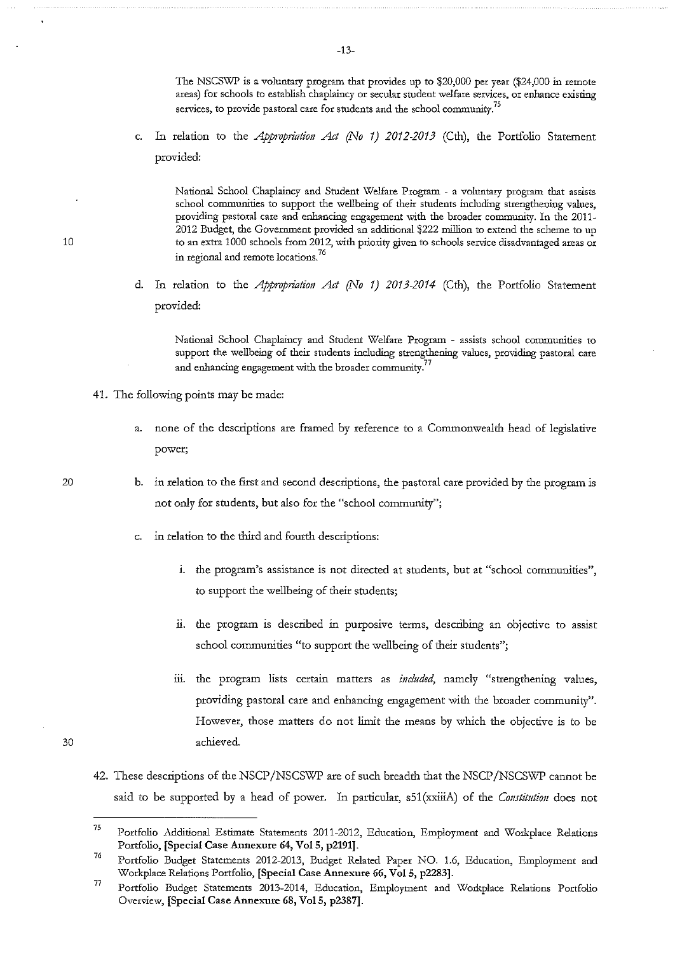The NSCSWP is a voluntary program that provides up to \$20,000 per year (\$24,000 in remote **areas) for schools to establish chaplaincy or secular student welfare services, or enhance existing services, to provide pastoral care for students and the school community?<sup>5</sup>**

c. In relation to the *Appropriation Act (No 1) 2012-2013* (Cth), the Portfolio Statement provided:

**National School Chaplaincy and Student Welfare Program - a voluntary program that assists school communities to support the wellbeing of their students including strengthening values,**  providing pastoral care and enhancing engagement with the broader community. In the 2011- 2012 Budget, the Government provided an additional \$222 million to extend the scheme to up **10 to an extra 1000 schools from 2012, with priority given to schools service disadvantaged areas or**  in regional and remote locations.<sup>76</sup>

> d. In relation to the *Appropriation Act (No 1) 2013-2014* (Cth), the Portfolio Statement provided:

**National School Chaplaincy and Student Welfare Program - assists school communities to support the wellbeing of their students including strengthening values, providing pastoral care and enhancing engagement \vith the broader community.<sup>77</sup>**

- 41. The following points may be made:
	- a. none of the descriptions are framed by reference to a Commonwealth head of legislative **power;**
	- b. in relation to the first and second descriptions, the pastoral care provided by the program is not only for students, but also for the "school community";
	- c. in relation to the third and fourth descriptions:
		- i. the program's assistance is not directed at students, but at "school communities", to support the wellbeing of their students;
		- ii. the program is described in purposive terms, describing an objective to assist **school communities "to support the wellbeing of their students";**
		- **111. the program lists certain matters as** *included,* **namely "strengthening values,**  providing pastoral care and enhancing engagement with the broader community". However, those matters do not limit the means by which the objective is to be achieved.
- 42. These descriptions of the NSCP/NSCSWP are of such breadth that the NSCP/NSCSWP cannot be said to be supported by a head of power. In particular, s51(xxiiiA) of the *Constitution* does not

20

<sup>75</sup>  Portfolio .Additional Estimate Statements 2011-2012, Education, Employment and Workplace Relations Portfolio, [Special Case Annexure 64, Vol 5, p2191].

<sup>76</sup>  Portfolio Budget Statements 2012-2013, Budget Related Paper NO. 1.6, Education, Employment and Workplace Relations Portfolio, [Special Case Annexure 66, Vol 5, p2283].

<sup>77</sup>  **Portfolio Budget Statements 2013-2014, Education, Employment and Workplace Relations Portfolio**  Overview, [Special Case Annexure 68, Vol 5, p2387].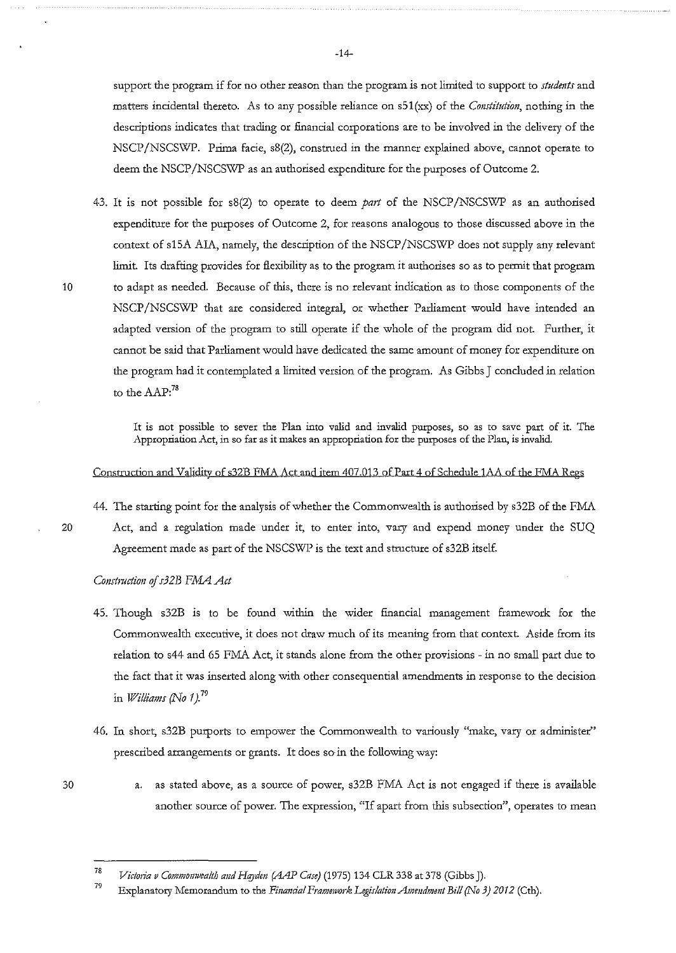support the program if for no other reason than the program is not limited to support to *studmts* and matters incidental thereto. As to any possible reliance on s51(xx) of the *Constitution,* nothing in the descriptions indicates that trading or financial corporations are to be involved in the delivery of the NSCP/NSCSWP. Prima facie, s8(2), construed in the manner explained above, cannot operate to deem the NSCP/NSCSWP as an authorised expenditure for the purposes of Outcome 2.

43. It is not possible for s8(2) to operate to deem part of the NSCP/NSCSWP as an authorised expenditure for the purposes of Outcome 2, for reasons analogous to those discussed above in the context of s15A AIA, namely, the description of the NSCP/NSCSWP does not supply any relevant limit. Its draftiog provides for flexibility as to the program it authorises so as to permit that program 10 to adapt as needed. Because of this, there is no relevant indication as to those components of the NSCP/NSCSWP that are considered integral, or whether Parliament would have intended an adapted version of the program to still operate if the whole of the program did not. Further, it cannot be said that Parliament would have dedicated the same amount of money for expenditure on the program had it contemplated a limited version of the program. As Gibbs J concluded in relation to the  ${\rm AAP:}^{78}$ 

> It is not possible to sever the Plan into valid and invalid purposes, so as to save part of it. The Appropriation Act, in so far as it makes an appropriation for the purposes of the Plan, is invalid.

## Construction and Validity of s32B FMA Act and item 407.013 of Part 4 of Schedule 1AA of the FMA Regs

44. The starting point for the analysis of whether the Commonwealth is authorised by s32B of the FMA

20 Act, and a regulation made under it, to enter into, vary and expend money under the SUQ Agreement made as part of the NSCSWP is the text and structure of s32B itself.

*Constmction* of *s32B F.MA Act* 

- 45. Though s32B is to be found within the wider financial management framework for the **Commonwealth executive, it does not draw much of its meaning from that context. Aside from its**  relation to s44 and 65 FMA Act, it stands alone from the other provisions - in no small part due to the fact that it was inserted along with other consequential amendments in response to the decision in *Williams (No 1).<sup>79</sup>*
- 46. In short, s32B purports to empower the Commonwealth to variously "make, vary or administer" prescribed arrangements or grants. It does so· in the following way:
- 30
- a. as stated above, as a source of power, s32B FMA Act is not engaged if there is available another source of power. The expression, "If apart from this subsection", operates to mean

79 Explanatory Memorandum to the *Finandal Framework Legislation Amendment Bill (No 3)* 2012 (Cth).

<sup>78</sup>  *Victoria v Commonwealth and Hayden (AAP Case)* (1975) 134 CLR 338 at 378 (Gibbs J).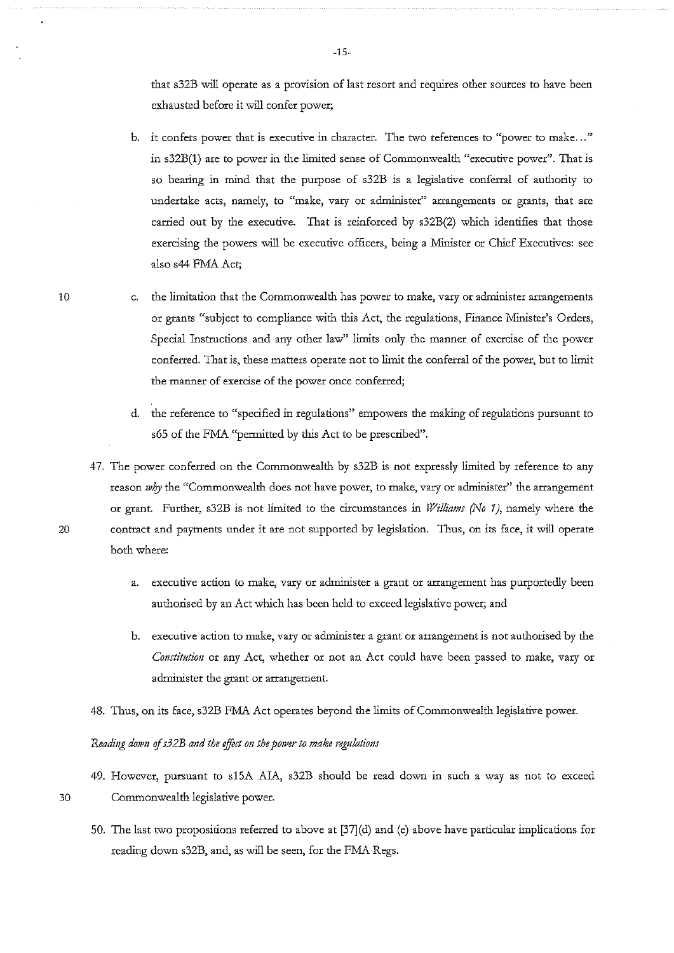**that s32B will operate as a provision of last resort and requires other sources to have been exhausted before it will confer power;** 

- **b.** it confers power that is executive in character. The two references to "power to make..." in s32B(1) are to power in the limited sense of Commonwealth "executive power". That is so bearing in mind that the purpose of s32B is a legislative conferral of authority to undertake acts, namely, to "make, vary or administer" arrangements or grants, that are carried out by the executive. That is reinforced by  $s32B(2)$  which identifies that those exercising the powers will be executive officers, being a Minister or Chief Executives: see also s44 FMA Act;
- c. the limitation that the Commonwealth has power to make, vary or administer arrangements **or grants "subject to compliance with this Act, the regulations, Finance Minister's Orders,**  Special Instructions and any other law" limits only the manner of exercise of the power conferred. That is, these matters operate not to limit the conferral of the power, but to limit **the manner of exercise of the power once conferred;** 
	- **d. the reference to "specified in regulations" empowers the making of regulations pursuant to**  s65 of the FMA "permitted by this Act to be prescribed".
- 47. The power conferred on the Commonwealth by s32B is not expressly limited by reference to any reason *why* the "Commonwealth does not have power, to make, vary or administer" the arrangement or grant. Further, s32B is not limited to the circumstances in *Williams (No 1)*, namely where the 20 contract and payments under it are not supported by legislation. Tims, on its face, it will operate both where:
	- **a. executive action to make, vary or administer a grant or arrangement has purportedly been**  authorised by an Act which has been held to exceed legislative power; and
	- **b. executive action to make, vary or administer a grant or arrangement is not authorised by the**  *Constitution* or any Act, whether or not an Act could have been passed to make, vary or administer the grant or arrangement.
	- 48. Thus, on its face, s32B FMA Act operates beyond the limits of Commonwealth legislative power.

#### *Reading down ofs32B and the effict on the power to make regulations*

- 49. However, pursuant to slSA AIA, s32B should be read down in such a way as not to exceed 30 Commonwealth legislative power.
	- 50. The last two propositions referred to above at [37](d) and (e) above have particular inlplications for reading down s32B, and, as will be seen, for the FMA Regs.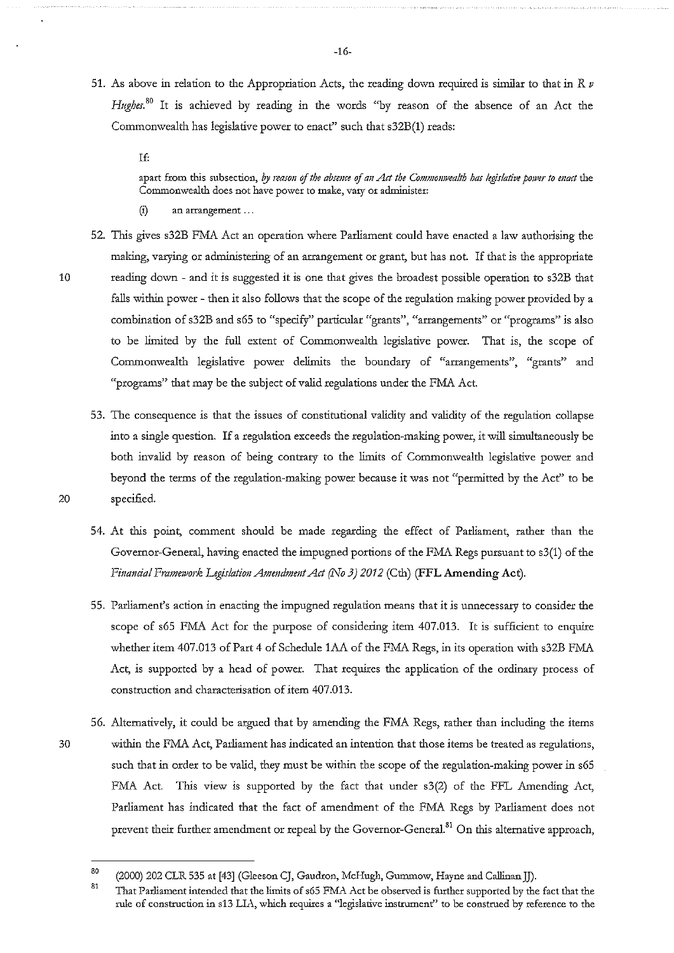51. As above in relation to the Appropriation Acts, the reading down required is similar to that in *R v Hughes.* 80 It is achieved by reading in the words "by reason of the absence of an Act the Commonwealth has legislative power to enact'' such that s32B(l) reads:

If:

apart from this subsection, by reason of the absence of an Act the Commonwealth has legislative power to enact the **Commonwealth does not have power to make, vary or administer:** 

- (i) an arrangement ...
- 52. This gives s32B FMA Act an operation where Parliament could have enacted a law authorising the making, varying or administering of an arrangement or grant, but has not. If that is the appropriate 10 reading down - and it is suggested it is one that gives the broadest possible operation to s32B that falls within power - then it also follows that the scope of the regulation making power provided by a **combination of s32B and s65 to "specify'' particular "grants", "arrangements" or "programs'' is also**  to be limited by the full extent of Commonwealth legislative power. That is, the scope of Commonwealth legislative power delimits the boundary of "arrangements", "grants" and "programs" that may be the subject of valid regulations under the FMA Act.
- 53. The consequence is that the issues of constitutional validity and validity of the regulation collapse into a single question. If a regulation exceeds the regulation-making power, it will simultaneously be both invalid by reason of being contrary to the limits of Commonwealth legislative power and beyond the terms of the regulation-making power because it was not "permitted by the Act" to be 20 specified.
	- 54. At this point, comment should be made regarding the effect of Parliament, rather than the Governor-General, having enacted the impugned portions of the FMA Regs pursuant to s3(1) of the *Financial Framework Legislation Amendment Act (No 3) 2012* (Cth) **(FFL Amending Act).**
	- 55. Parliament's action in enacting the impugned regulation means that it is unnecessary to consider the scope of s65 FMA Act for the purpose of considering item 407.013. It is sufficient to enquire whether item 407.013 of Part 4 of Schedule lAA of the FMA Regs, in its operation with s32B FMA Act, is supported by a head of power. That requires the application of the ordinary process of construction and characterisation of item 407.013.
- 56. Alternatively, it could be argued that by amending the FMA Regs, rather than including the items 30 within the FMA Act, Parliament has indicated an intention that those items be treated as regulations, such that in order to be valid, they must be within the scope of the regulation-making power in s65 FMA Act. This view is supported by the fact that under s3(2) of the FFL Amending Act, Parliament has indicated that the fact of amendment of the FMA Regs by Parliament does not prevent their further amendment or repeal by the Governor-General.<sup>81</sup> On this alternative approach,

<sup>80</sup>  (2000) 202 CLR 535 at [43] (Gleeson CJ, Gaudron, McHugh, Gummow, Hayne and Callinan]]).

<sup>81</sup>  That Parliament intended that the limits of s65 FMA Act be observed is further supported by the fact that the rule of construction in s13 LIA, which requires a "legislative instrument" to be construed by reference to the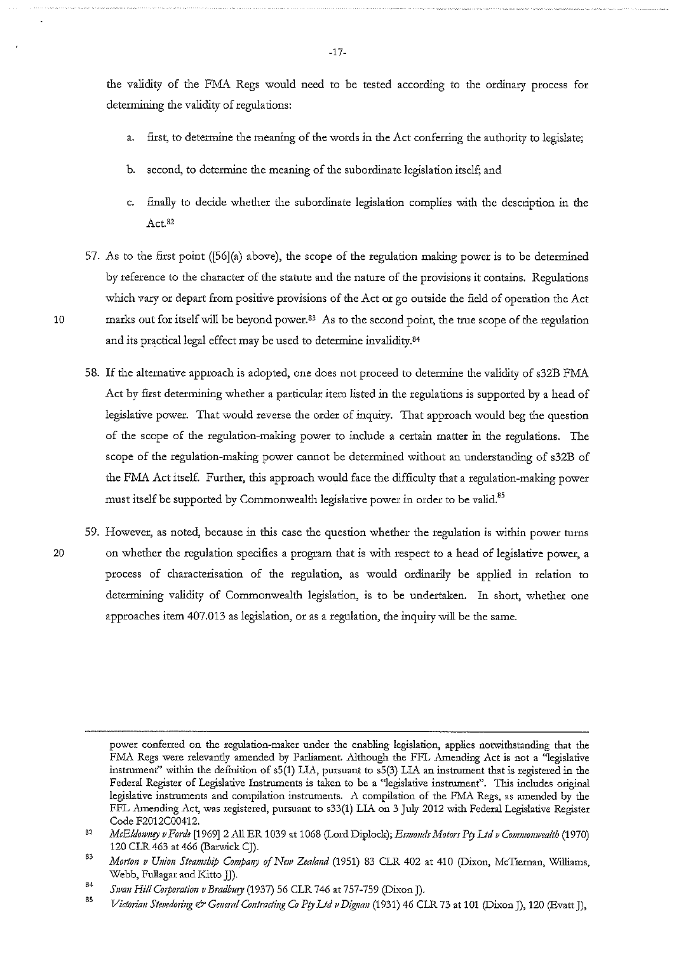the validity of the FMA Regs would need to be tested according to the ordinary process for determining the validity of regulations:

- a. first, to determine the meaning of the words in the Act conferring the authority to legislate;
- b. second, to determine the meaning of the subordinate legislation itself; and
- c. finally to decide whether the subordinate legislation complies with the description in the Act <sup>82</sup>
- 57. As to the first point ( $[56](a)$  above), the scope of the regulation making power is to be determined by reference to the character of the statute and the nature of the provisions it contains. Regulations which vary or depart from positive provisions of the Act or go outside the field of operation the Act 10 marks out for itself will be beyond power.<sup>83</sup> As to the second point, the true scope of the regulation and its practical legal effect may be used to determine invalidity.<sup>84</sup>
	- 58. If the alternative approach is adopted, one does not proceed to determine the validity of s32B FMA Act by first determining whether a particular item listed in the regulations is supported by a head of legislative power. That would reverse the order of inquiry. That approach would beg the question of the scope of the regulation-making power to include a certain matter in the regulations. The scope of the regulation-making power cannot be determined without an understanding of s32B of the FMA Act itself. Further, this approach would face the difficulty that a regulation-making power must itself be supported by Commonwealth legislative power in order to be valid.<sup>85</sup>
- **59. However, as noted, because in this case the question whether the regulation is within power turns**  20 on whether the regulation specifies a program that is with respect to a head of legislative power, a process of characterisation of the regulation, as would ordinarily be applied in relation to determining validity of Commonwealth legislation, is to be undertaken. In short, whether one approaches item 407.013 as legislation, or as a regulation, the inquiry will be the same.

power conferred on the regulation-maker under the enabling legislation, applies notwithstanding that the FMA Regs were relevantly amended by Parliament. Although the FFL Amending Act is not a "legislative instrument'' within the definition of s5(1) LI.A, pursuant to s5(3) LI.A an instrument that is registered in the **Federal Register of Legislative Instruments is taken to be a c'legislative instrument". This includes original**  legislative instruments and compilation instruments. A compilation of the FMA Regs, as amended by the FFL Amending Act, was registered, pursuant to s33(1) LIA on 3 July 2012 with Federal Legislative Register Code F2012C00412.

<sup>82</sup>  *McE!dow11ey v Forde* [1969] 2 .AllER 1039 at 1068 (Lord Diplock); *Esmo11ds Motors Pty Ltd v Commomvealth* (1970) 120 CLR 463 at 466 (Barwick CJ).

<sup>83</sup>  84 *M01to11 v U11io11 Steamship Compmry* of *Ne1v Zeala11d* (1951) 83 CLR 402 at 410 (Dixon, McTiernan, Williams, Webb, Fullagar and Kitto JJ).

*Swan Hill C01poratio11 v Bradbury* (1937) 56 CLR 746 at 757-759 (Dixon J).

<sup>85</sup>  *Victorian Stevedoring & General Contracting Co Pty Ltd v Dignan* (1931) 46 CLR 73 at 101 (Dixon J), 120 (Evatt J),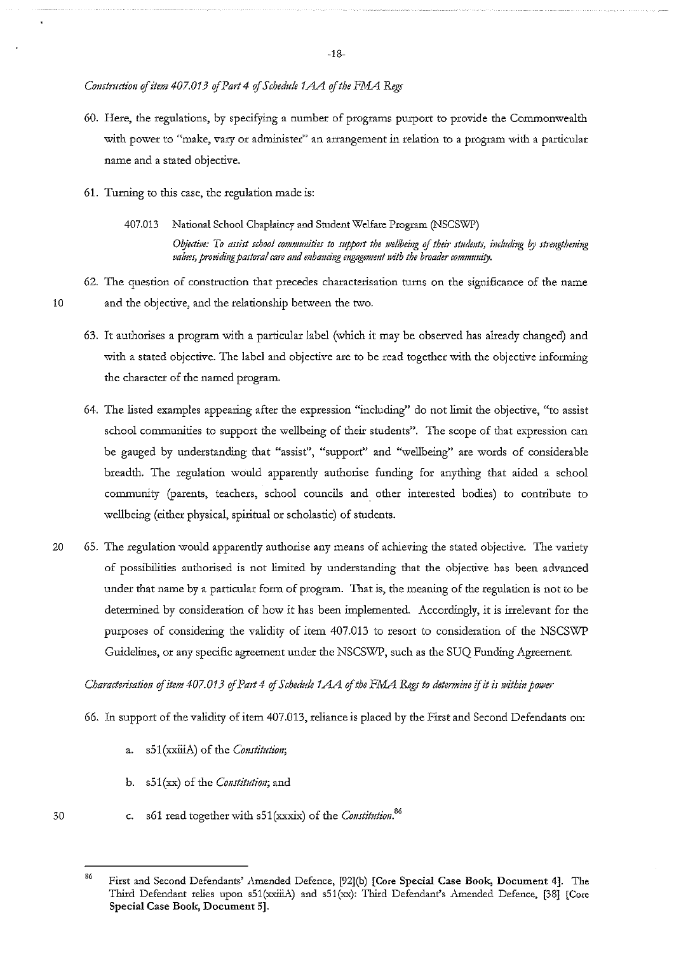*Construction of item 407.013 ofPart4 of Schedule 1AA of the FMA Regs* 

- 60. Here, the regulations, by specifying a number of programs pmport to provide the Commonwealth with power to "make, vary or administer" an arrangement in relation to a program with a particular name and a stated objective.
- 61. Turning to this case, the regulation made is:
	- 407.D13 National School Chaplaincy and Student Welfare Program (NSCSWP) *Oijective: To assist school comnumities to supp01t the wellbeing* **of** *their studmts, including* **I?J** *strmgthening valms, providing pastoral care and mhandug engagement with the broader community.*
- 62. The question of construction that precedes characterisation turns on the significance of the name 10 and the objective, and the relationship between the two.
	- 63. It authorises a program with a particular label (which it may be observed has already changed) and with a stated objective. The label and objective are to be read together with the objective informing the character of the named program.
	- 64. The listed examples appearing after the expression "including" do not limit the objective, "to assist **school communities to support the wellbeing of their students". The scope of that expression can**  be gauged by understanding that "assist", "support" and "wellbeing" are words of considerable breadth. The regulation would apparently authorise funding for anything that aided a school **community (parents, teachers, school councils and. other interested bodies) to contribute to**  wellbeing (either physical, spiritual or scholastic) of students.
- 20 65. The regulation would apparently authorise any means of achieving the stated objective. The variety of possibilities authorised is not limited by understanding that the objective has been advanced under that name by a particular form of program. That is, the meaning of the regulation is not to be detennined by consideration of how it has been implemented. Accordingly, it is irrelevant for the purposes of considering the validity of item 407.013 to resort to consideration of the NSCSWP Guidelines, or any specific agreement under the NSCSWP, such as the SUQ Funding Agreement.

*Characterisation of item 407.013 of Part 4 of Schedule 1AA of the FMA Regs to determine if it is within power* 

- 66. In support of the validity of item 407.013, reliance is placed by the First and Second Defendants on:
	- a. s51(xxiiiA) of the *Constitution*;
	- b. s51(xx) of the *Constitution*; and
	- c. s61 read together with s51(xxxix) of the *Constitution*.<sup>86</sup>

<sup>86</sup>  First and Second Defendants' Amended Defence, [92](b) [Core Special Case Book, Document 4]. The Third Defendant relies upon s51(xxlliA) and s51(xx): Third Defendant's Amended Defence, [38] [Core **Special Case Book, Document 5].**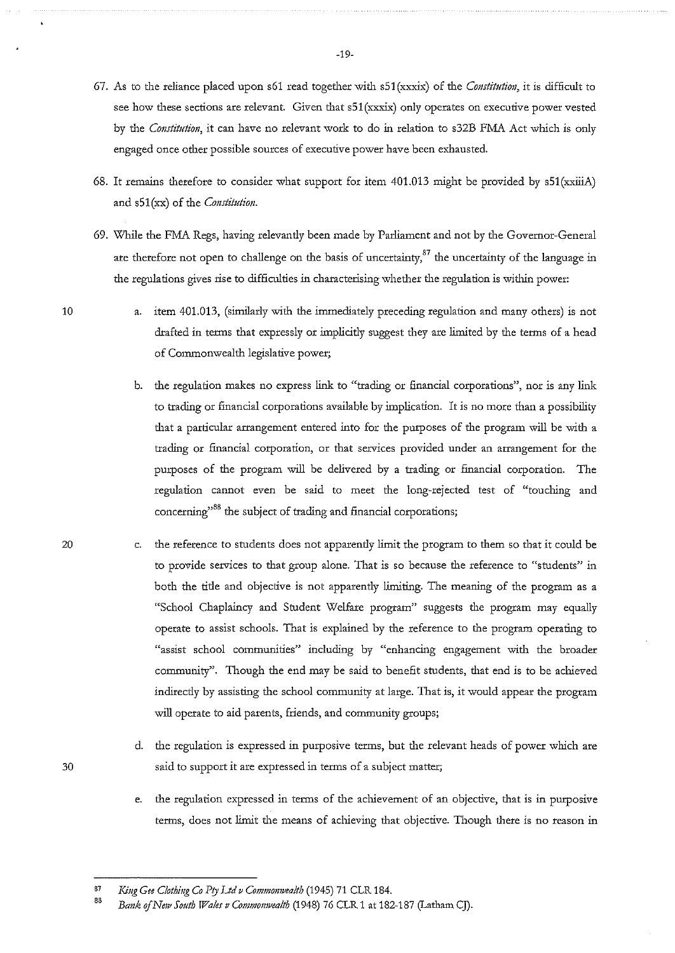- 67. As to the reliance placed upon s61 read together with s51(xxxix) of the *Constitution*, it is difficult to see how these sections are relevant. Given that  $s51$ (xxxix) only operates on executive power vested by the *Constitution*, it can have no relevant work to do in relation to s32B FMA Act which is only **engaged once other possible sources of executive power have been exhausted.**
- 68. It remains therefore to consider what support for item 401.013 might be provided by sSl(xxiliA) and  $s51(xx)$  of the Constitution.
- 69. While the FMA Regs, having relevantly been made by Parliament and not by the Governor-General are therefore not open to challenge on the basis of uncertainty, $^{87}$  the uncertainty of the language in the regulations gives rise to difficulties in characterising whether the regulation is within power:
	- a. item 401.013, (similarly with the immediately preceding regulation and many others) is not drafted in terms that expressly or implicitly suggest they are limited by the terms of a head of Commonwealth legislative power;
		- **b.** the regulation makes no express link to "trading or financial corporations", nor is any link to trading or financial corporations available by implication. It is no more than a possibility that a particular arrangement entered into for the purposes of the program will be with a trading or financial corporation, or that services provided under an arrangement for the purposes of the program will be delivered by a trading or financial corporation. The **regulation cannot even be said to meet the long-rejected test of "touching and concerning"88 the subject of trading and financial corporations;**
- c. the reference to students does not apparently limit the program to them so that it could be **to provide services to that group alone. That is so because the reference to "students" in**  both the title and objective is not apparently limiting. The meaning of the program as a "School Chaplaincy and Student Welfare program" suggests the program may equally operate to assist schools. That is explained by the reference to the program operating to **"assist school communities" including by "enhancing engagement with the broader**  community". Though the end may be said to benefit students, that end is to be achieved indirectly by assisting the school community at large. That is, it would appear the program will operate to aid parents, friends, and community groups;
- d. the regulation is expressed in purposive terms, but the relevant heads of power which are 30 said to support it are expressed in terms of a subject matter;
	- e. the regulation expressed in terms of the achievement of an objective, that is in purposive terms, does not limit the means of achieving that objective. Though there is no reason in

10

<sup>87</sup>  King Gee Clothing Co Pty Ltd v Commonwealth (1945) 71 CLR 184.

<sup>88</sup>  *Bank ojNe1v South Wales v Commomveafth* (1948) 76 CLR 1 at 182-187 (Latham CJ).